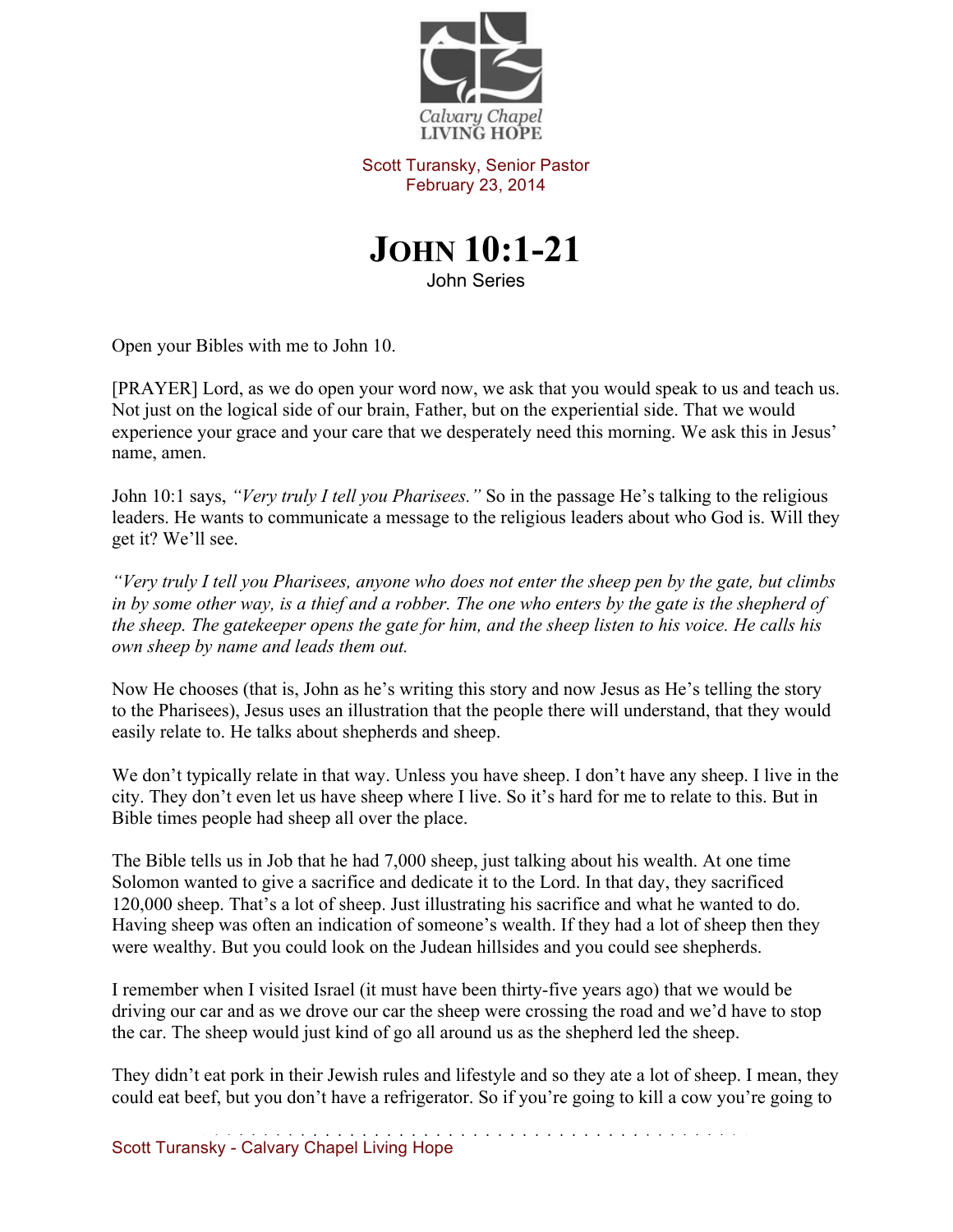

Scott Turansky, Senior Pastor February 23, 2014



John Series

Open your Bibles with me to John 10.

[PRAYER] Lord, as we do open your word now, we ask that you would speak to us and teach us. Not just on the logical side of our brain, Father, but on the experiential side. That we would experience your grace and your care that we desperately need this morning. We ask this in Jesus' name, amen.

John 10:1 says, *"Very truly I tell you Pharisees."* So in the passage He's talking to the religious leaders. He wants to communicate a message to the religious leaders about who God is. Will they get it? We'll see.

*"Very truly I tell you Pharisees, anyone who does not enter the sheep pen by the gate, but climbs in by some other way, is a thief and a robber. The one who enters by the gate is the shepherd of the sheep. The gatekeeper opens the gate for him, and the sheep listen to his voice. He calls his own sheep by name and leads them out.* 

Now He chooses (that is, John as he's writing this story and now Jesus as He's telling the story to the Pharisees), Jesus uses an illustration that the people there will understand, that they would easily relate to. He talks about shepherds and sheep.

We don't typically relate in that way. Unless you have sheep. I don't have any sheep. I live in the city. They don't even let us have sheep where I live. So it's hard for me to relate to this. But in Bible times people had sheep all over the place.

The Bible tells us in Job that he had 7,000 sheep, just talking about his wealth. At one time Solomon wanted to give a sacrifice and dedicate it to the Lord. In that day, they sacrificed 120,000 sheep. That's a lot of sheep. Just illustrating his sacrifice and what he wanted to do. Having sheep was often an indication of someone's wealth. If they had a lot of sheep then they were wealthy. But you could look on the Judean hillsides and you could see shepherds.

I remember when I visited Israel (it must have been thirty-five years ago) that we would be driving our car and as we drove our car the sheep were crossing the road and we'd have to stop the car. The sheep would just kind of go all around us as the shepherd led the sheep.

They didn't eat pork in their Jewish rules and lifestyle and so they ate a lot of sheep. I mean, they could eat beef, but you don't have a refrigerator. So if you're going to kill a cow you're going to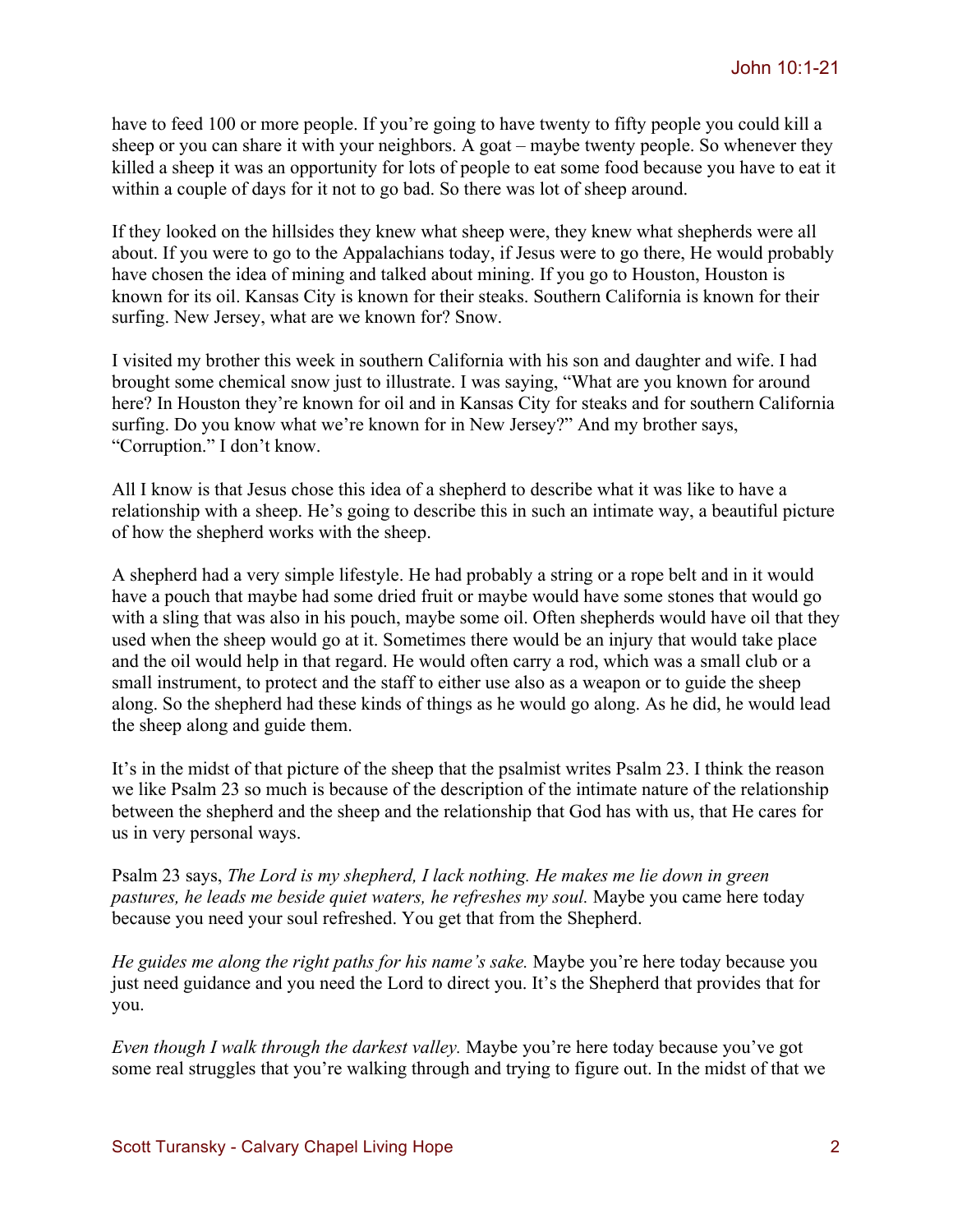have to feed 100 or more people. If you're going to have twenty to fifty people you could kill a sheep or you can share it with your neighbors. A goat – maybe twenty people. So whenever they killed a sheep it was an opportunity for lots of people to eat some food because you have to eat it within a couple of days for it not to go bad. So there was lot of sheep around.

If they looked on the hillsides they knew what sheep were, they knew what shepherds were all about. If you were to go to the Appalachians today, if Jesus were to go there, He would probably have chosen the idea of mining and talked about mining. If you go to Houston, Houston is known for its oil. Kansas City is known for their steaks. Southern California is known for their surfing. New Jersey, what are we known for? Snow.

I visited my brother this week in southern California with his son and daughter and wife. I had brought some chemical snow just to illustrate. I was saying, "What are you known for around here? In Houston they're known for oil and in Kansas City for steaks and for southern California surfing. Do you know what we're known for in New Jersey?" And my brother says, "Corruption." I don't know.

All I know is that Jesus chose this idea of a shepherd to describe what it was like to have a relationship with a sheep. He's going to describe this in such an intimate way, a beautiful picture of how the shepherd works with the sheep.

A shepherd had a very simple lifestyle. He had probably a string or a rope belt and in it would have a pouch that maybe had some dried fruit or maybe would have some stones that would go with a sling that was also in his pouch, maybe some oil. Often shepherds would have oil that they used when the sheep would go at it. Sometimes there would be an injury that would take place and the oil would help in that regard. He would often carry a rod, which was a small club or a small instrument, to protect and the staff to either use also as a weapon or to guide the sheep along. So the shepherd had these kinds of things as he would go along. As he did, he would lead the sheep along and guide them.

It's in the midst of that picture of the sheep that the psalmist writes Psalm 23. I think the reason we like Psalm 23 so much is because of the description of the intimate nature of the relationship between the shepherd and the sheep and the relationship that God has with us, that He cares for us in very personal ways.

Psalm 23 says, *The Lord is my shepherd, I lack nothing. He makes me lie down in green pastures, he leads me beside quiet waters, he refreshes my soul.* Maybe you came here today because you need your soul refreshed. You get that from the Shepherd.

*He guides me along the right paths for his name's sake.* Maybe you're here today because you just need guidance and you need the Lord to direct you. It's the Shepherd that provides that for you.

*Even though I walk through the darkest valley.* Maybe you're here today because you've got some real struggles that you're walking through and trying to figure out. In the midst of that we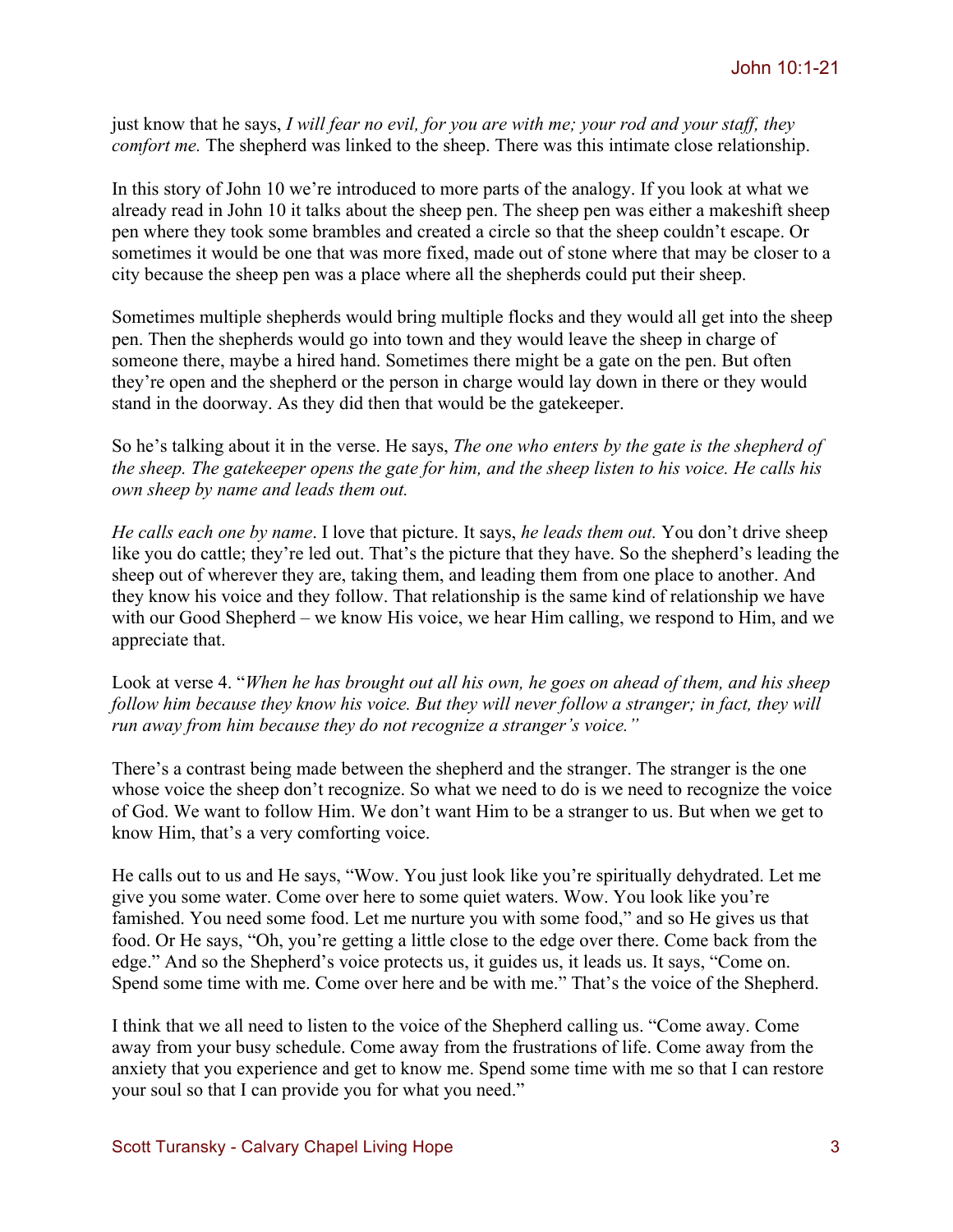just know that he says, *I will fear no evil, for you are with me; your rod and your staff, they comfort me.* The shepherd was linked to the sheep. There was this intimate close relationship.

In this story of John 10 we're introduced to more parts of the analogy. If you look at what we already read in John 10 it talks about the sheep pen. The sheep pen was either a makeshift sheep pen where they took some brambles and created a circle so that the sheep couldn't escape. Or sometimes it would be one that was more fixed, made out of stone where that may be closer to a city because the sheep pen was a place where all the shepherds could put their sheep.

Sometimes multiple shepherds would bring multiple flocks and they would all get into the sheep pen. Then the shepherds would go into town and they would leave the sheep in charge of someone there, maybe a hired hand. Sometimes there might be a gate on the pen. But often they're open and the shepherd or the person in charge would lay down in there or they would stand in the doorway. As they did then that would be the gatekeeper.

So he's talking about it in the verse. He says, *The one who enters by the gate is the shepherd of the sheep. The gatekeeper opens the gate for him, and the sheep listen to his voice. He calls his own sheep by name and leads them out.*

*He calls each one by name*. I love that picture. It says, *he leads them out.* You don't drive sheep like you do cattle; they're led out. That's the picture that they have. So the shepherd's leading the sheep out of wherever they are, taking them, and leading them from one place to another. And they know his voice and they follow. That relationship is the same kind of relationship we have with our Good Shepherd – we know His voice, we hear Him calling, we respond to Him, and we appreciate that.

Look at verse 4. "*When he has brought out all his own, he goes on ahead of them, and his sheep follow him because they know his voice. But they will never follow a stranger; in fact, they will run away from him because they do not recognize a stranger's voice."* 

There's a contrast being made between the shepherd and the stranger. The stranger is the one whose voice the sheep don't recognize. So what we need to do is we need to recognize the voice of God. We want to follow Him. We don't want Him to be a stranger to us. But when we get to know Him, that's a very comforting voice.

He calls out to us and He says, "Wow. You just look like you're spiritually dehydrated. Let me give you some water. Come over here to some quiet waters. Wow. You look like you're famished. You need some food. Let me nurture you with some food," and so He gives us that food. Or He says, "Oh, you're getting a little close to the edge over there. Come back from the edge." And so the Shepherd's voice protects us, it guides us, it leads us. It says, "Come on. Spend some time with me. Come over here and be with me." That's the voice of the Shepherd.

I think that we all need to listen to the voice of the Shepherd calling us. "Come away. Come away from your busy schedule. Come away from the frustrations of life. Come away from the anxiety that you experience and get to know me. Spend some time with me so that I can restore your soul so that I can provide you for what you need."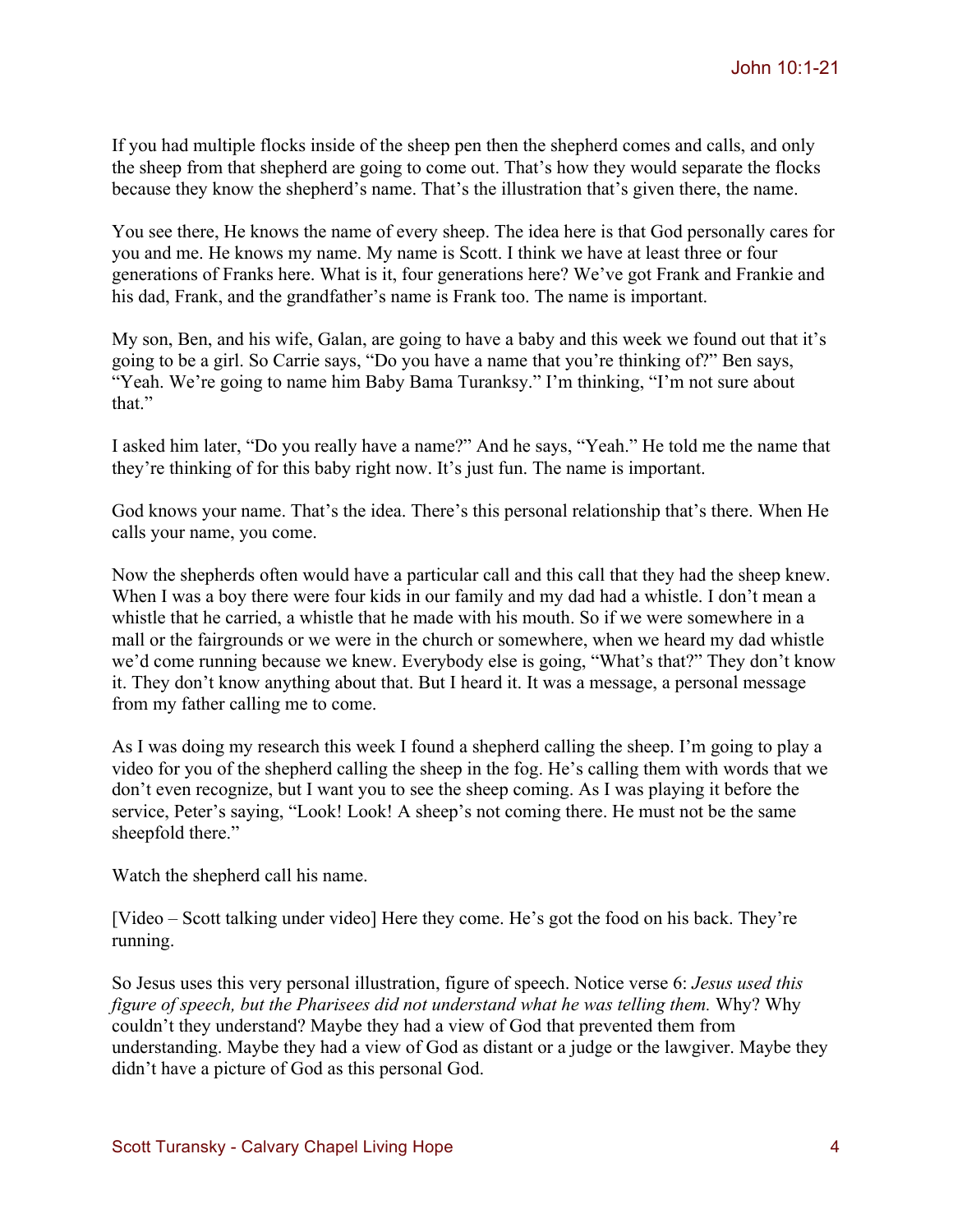If you had multiple flocks inside of the sheep pen then the shepherd comes and calls, and only the sheep from that shepherd are going to come out. That's how they would separate the flocks because they know the shepherd's name. That's the illustration that's given there, the name.

You see there, He knows the name of every sheep. The idea here is that God personally cares for you and me. He knows my name. My name is Scott. I think we have at least three or four generations of Franks here. What is it, four generations here? We've got Frank and Frankie and his dad, Frank, and the grandfather's name is Frank too. The name is important.

My son, Ben, and his wife, Galan, are going to have a baby and this week we found out that it's going to be a girl. So Carrie says, "Do you have a name that you're thinking of?" Ben says, "Yeah. We're going to name him Baby Bama Turanksy." I'm thinking, "I'm not sure about that."

I asked him later, "Do you really have a name?" And he says, "Yeah." He told me the name that they're thinking of for this baby right now. It's just fun. The name is important.

God knows your name. That's the idea. There's this personal relationship that's there. When He calls your name, you come.

Now the shepherds often would have a particular call and this call that they had the sheep knew. When I was a boy there were four kids in our family and my dad had a whistle. I don't mean a whistle that he carried, a whistle that he made with his mouth. So if we were somewhere in a mall or the fairgrounds or we were in the church or somewhere, when we heard my dad whistle we'd come running because we knew. Everybody else is going, "What's that?" They don't know it. They don't know anything about that. But I heard it. It was a message, a personal message from my father calling me to come.

As I was doing my research this week I found a shepherd calling the sheep. I'm going to play a video for you of the shepherd calling the sheep in the fog. He's calling them with words that we don't even recognize, but I want you to see the sheep coming. As I was playing it before the service, Peter's saying, "Look! Look! A sheep's not coming there. He must not be the same sheepfold there."

Watch the shepherd call his name.

[Video – Scott talking under video] Here they come. He's got the food on his back. They're running.

So Jesus uses this very personal illustration, figure of speech. Notice verse 6: *Jesus used this figure of speech, but the Pharisees did not understand what he was telling them.* Why? Why couldn't they understand? Maybe they had a view of God that prevented them from understanding. Maybe they had a view of God as distant or a judge or the lawgiver. Maybe they didn't have a picture of God as this personal God.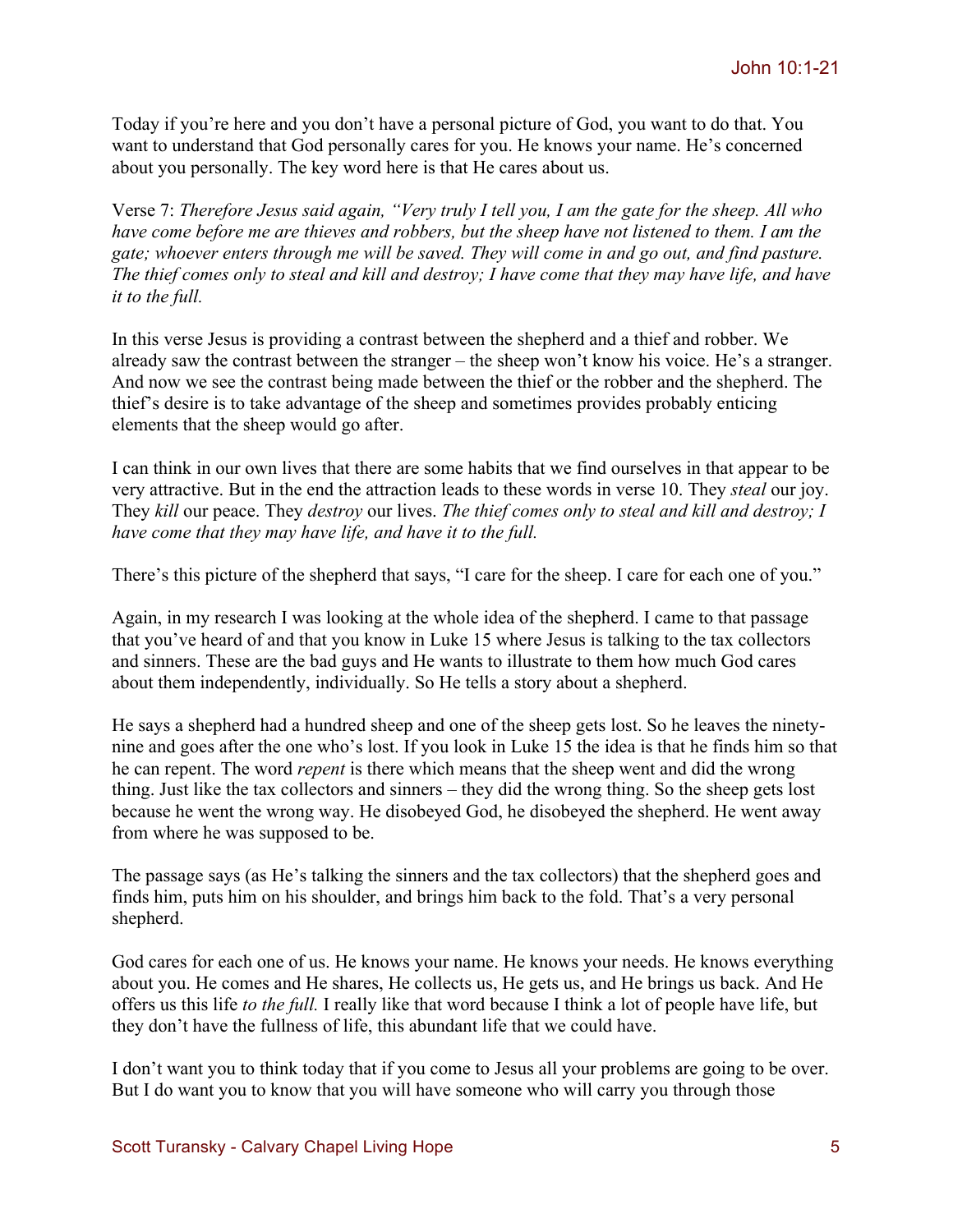Today if you're here and you don't have a personal picture of God, you want to do that. You want to understand that God personally cares for you. He knows your name. He's concerned about you personally. The key word here is that He cares about us.

Verse 7: *Therefore Jesus said again, "Very truly I tell you, I am the gate for the sheep. All who have come before me are thieves and robbers, but the sheep have not listened to them. I am the gate; whoever enters through me will be saved. They will come in and go out, and find pasture. The thief comes only to steal and kill and destroy; I have come that they may have life, and have it to the full.*

In this verse Jesus is providing a contrast between the shepherd and a thief and robber. We already saw the contrast between the stranger – the sheep won't know his voice. He's a stranger. And now we see the contrast being made between the thief or the robber and the shepherd. The thief's desire is to take advantage of the sheep and sometimes provides probably enticing elements that the sheep would go after.

I can think in our own lives that there are some habits that we find ourselves in that appear to be very attractive. But in the end the attraction leads to these words in verse 10. They *steal* our joy. They *kill* our peace. They *destroy* our lives. *The thief comes only to steal and kill and destroy; I have come that they may have life, and have it to the full.* 

There's this picture of the shepherd that says, "I care for the sheep. I care for each one of you."

Again, in my research I was looking at the whole idea of the shepherd. I came to that passage that you've heard of and that you know in Luke 15 where Jesus is talking to the tax collectors and sinners. These are the bad guys and He wants to illustrate to them how much God cares about them independently, individually. So He tells a story about a shepherd.

He says a shepherd had a hundred sheep and one of the sheep gets lost. So he leaves the ninetynine and goes after the one who's lost. If you look in Luke 15 the idea is that he finds him so that he can repent. The word *repent* is there which means that the sheep went and did the wrong thing. Just like the tax collectors and sinners – they did the wrong thing. So the sheep gets lost because he went the wrong way. He disobeyed God, he disobeyed the shepherd. He went away from where he was supposed to be.

The passage says (as He's talking the sinners and the tax collectors) that the shepherd goes and finds him, puts him on his shoulder, and brings him back to the fold. That's a very personal shepherd.

God cares for each one of us. He knows your name. He knows your needs. He knows everything about you. He comes and He shares, He collects us, He gets us, and He brings us back. And He offers us this life *to the full.* I really like that word because I think a lot of people have life, but they don't have the fullness of life, this abundant life that we could have.

I don't want you to think today that if you come to Jesus all your problems are going to be over. But I do want you to know that you will have someone who will carry you through those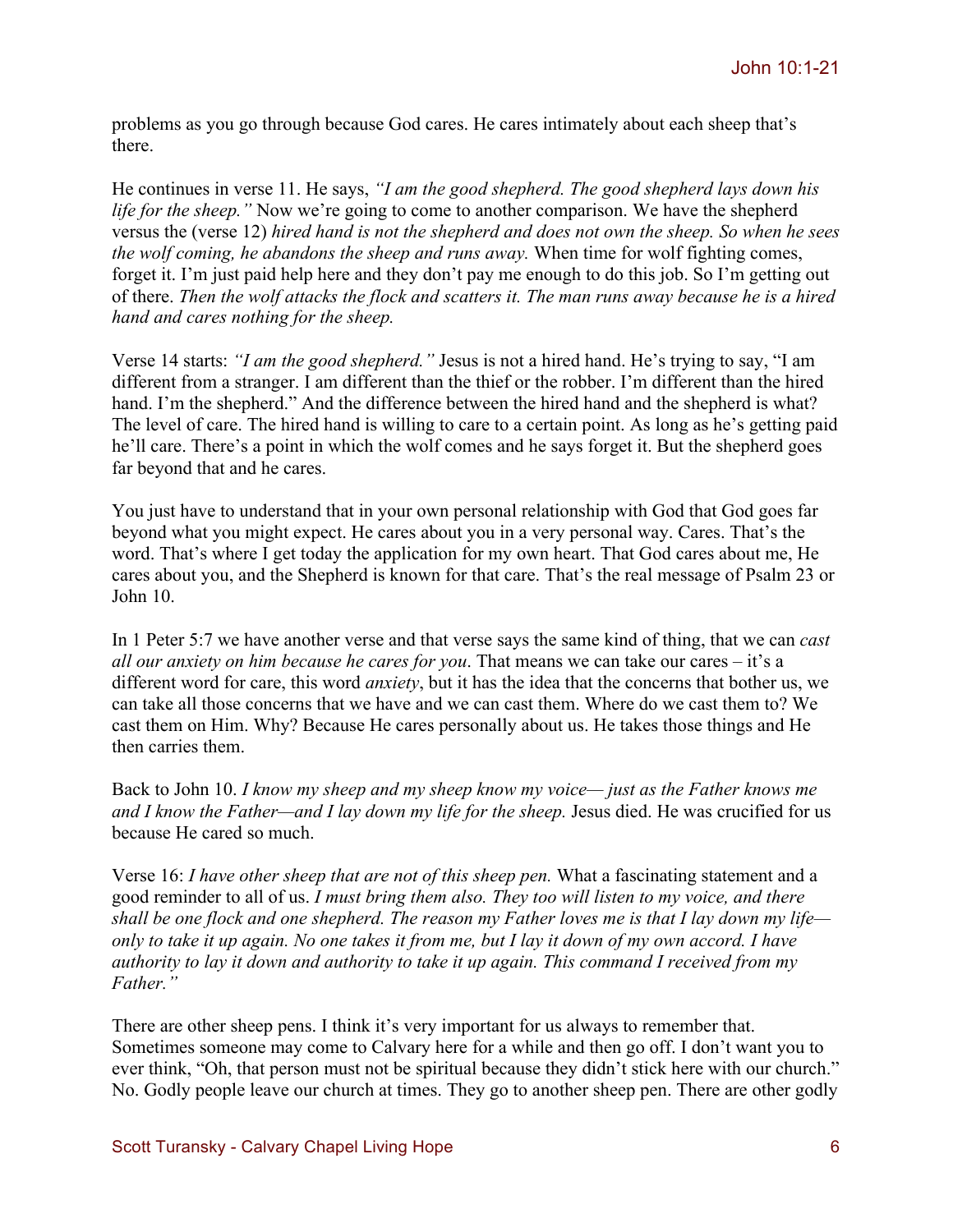problems as you go through because God cares. He cares intimately about each sheep that's there.

He continues in verse 11. He says, *"I am the good shepherd. The good shepherd lays down his life for the sheep.*" Now we're going to come to another comparison. We have the shepherd versus the (verse 12) *hired hand is not the shepherd and does not own the sheep. So when he sees the wolf coming, he abandons the sheep and runs away.* When time for wolf fighting comes, forget it. I'm just paid help here and they don't pay me enough to do this job. So I'm getting out of there. *Then the wolf attacks the flock and scatters it. The man runs away because he is a hired hand and cares nothing for the sheep.*

Verse 14 starts: *"I am the good shepherd."* Jesus is not a hired hand. He's trying to say, "I am different from a stranger. I am different than the thief or the robber. I'm different than the hired hand. I'm the shepherd." And the difference between the hired hand and the shepherd is what? The level of care. The hired hand is willing to care to a certain point. As long as he's getting paid he'll care. There's a point in which the wolf comes and he says forget it. But the shepherd goes far beyond that and he cares.

You just have to understand that in your own personal relationship with God that God goes far beyond what you might expect. He cares about you in a very personal way. Cares. That's the word. That's where I get today the application for my own heart. That God cares about me, He cares about you, and the Shepherd is known for that care. That's the real message of Psalm 23 or John 10.

In 1 Peter 5:7 we have another verse and that verse says the same kind of thing, that we can *cast all our anxiety on him because he cares for you*. That means we can take our cares – it's a different word for care, this word *anxiety*, but it has the idea that the concerns that bother us, we can take all those concerns that we have and we can cast them. Where do we cast them to? We cast them on Him. Why? Because He cares personally about us. He takes those things and He then carries them.

Back to John 10. *I know my sheep and my sheep know my voice— just as the Father knows me and I know the Father—and I lay down my life for the sheep.* Jesus died. He was crucified for us because He cared so much.

Verse 16: *I have other sheep that are not of this sheep pen.* What a fascinating statement and a good reminder to all of us. *I must bring them also. They too will listen to my voice, and there shall be one flock and one shepherd. The reason my Father loves me is that I lay down my life only to take it up again. No one takes it from me, but I lay it down of my own accord. I have authority to lay it down and authority to take it up again. This command I received from my Father."*

There are other sheep pens. I think it's very important for us always to remember that. Sometimes someone may come to Calvary here for a while and then go off. I don't want you to ever think, "Oh, that person must not be spiritual because they didn't stick here with our church." No. Godly people leave our church at times. They go to another sheep pen. There are other godly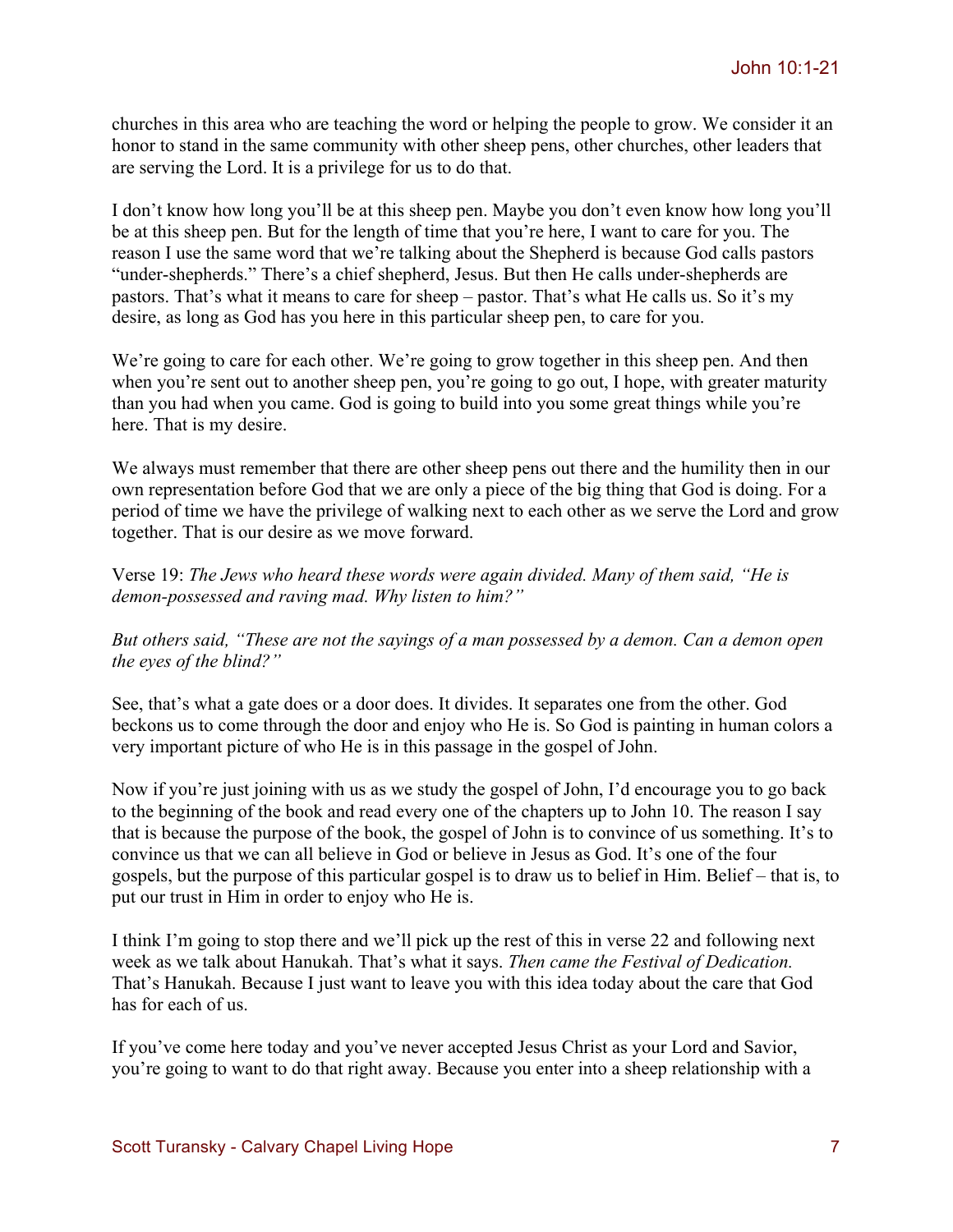churches in this area who are teaching the word or helping the people to grow. We consider it an honor to stand in the same community with other sheep pens, other churches, other leaders that are serving the Lord. It is a privilege for us to do that.

I don't know how long you'll be at this sheep pen. Maybe you don't even know how long you'll be at this sheep pen. But for the length of time that you're here, I want to care for you. The reason I use the same word that we're talking about the Shepherd is because God calls pastors "under-shepherds." There's a chief shepherd, Jesus. But then He calls under-shepherds are pastors. That's what it means to care for sheep – pastor. That's what He calls us. So it's my desire, as long as God has you here in this particular sheep pen, to care for you.

We're going to care for each other. We're going to grow together in this sheep pen. And then when you're sent out to another sheep pen, you're going to go out, I hope, with greater maturity than you had when you came. God is going to build into you some great things while you're here. That is my desire.

We always must remember that there are other sheep pens out there and the humility then in our own representation before God that we are only a piece of the big thing that God is doing. For a period of time we have the privilege of walking next to each other as we serve the Lord and grow together. That is our desire as we move forward.

Verse 19: *The Jews who heard these words were again divided. Many of them said, "He is demon-possessed and raving mad. Why listen to him?"*

*But others said, "These are not the sayings of a man possessed by a demon. Can a demon open the eyes of the blind?"*

See, that's what a gate does or a door does. It divides. It separates one from the other. God beckons us to come through the door and enjoy who He is. So God is painting in human colors a very important picture of who He is in this passage in the gospel of John.

Now if you're just joining with us as we study the gospel of John, I'd encourage you to go back to the beginning of the book and read every one of the chapters up to John 10. The reason I say that is because the purpose of the book, the gospel of John is to convince of us something. It's to convince us that we can all believe in God or believe in Jesus as God. It's one of the four gospels, but the purpose of this particular gospel is to draw us to belief in Him. Belief – that is, to put our trust in Him in order to enjoy who He is.

I think I'm going to stop there and we'll pick up the rest of this in verse 22 and following next week as we talk about Hanukah. That's what it says. *Then came the Festival of Dedication.*  That's Hanukah. Because I just want to leave you with this idea today about the care that God has for each of us.

If you've come here today and you've never accepted Jesus Christ as your Lord and Savior, you're going to want to do that right away. Because you enter into a sheep relationship with a